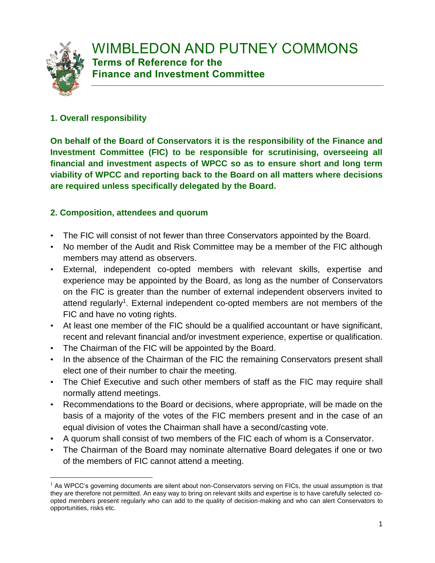

 $\overline{a}$ 

#### **1. Overall responsibility**

**On behalf of the Board of Conservators it is the responsibility of the Finance and Investment Committee (FIC) to be responsible for scrutinising, overseeing all financial and investment aspects of WPCC so as to ensure short and long term viability of WPCC and reporting back to the Board on all matters where decisions are required unless specifically delegated by the Board.**

#### **2. Composition, attendees and quorum**

- The FIC will consist of not fewer than three Conservators appointed by the Board.
- No member of the Audit and Risk Committee may be a member of the FIC although members may attend as observers.
- External, independent co-opted members with relevant skills, expertise and experience may be appointed by the Board, as long as the number of Conservators on the FIC is greater than the number of external independent observers invited to attend regularly<sup>1</sup>. External independent co-opted members are not members of the FIC and have no voting rights.
- At least one member of the FIC should be a qualified accountant or have significant, recent and relevant financial and/or investment experience, expertise or qualification.
- The Chairman of the FIC will be appointed by the Board.
- In the absence of the Chairman of the FIC the remaining Conservators present shall elect one of their number to chair the meeting.
- The Chief Executive and such other members of staff as the FIC may require shall normally attend meetings.
- Recommendations to the Board or decisions, where appropriate, will be made on the basis of a majority of the votes of the FIC members present and in the case of an equal division of votes the Chairman shall have a second/casting vote.
- A quorum shall consist of two members of the FIC each of whom is a Conservator.
- The Chairman of the Board may nominate alternative Board delegates if one or two of the members of FIC cannot attend a meeting.

 $<sup>1</sup>$  As WPCC's governing documents are silent about non-Conservators serving on FICs, the usual assumption is that</sup> they are therefore not permitted. An easy way to bring on relevant skills and expertise is to have carefully selected coopted members present regularly who can add to the quality of decision-making and who can alert Conservators to opportunities, risks etc.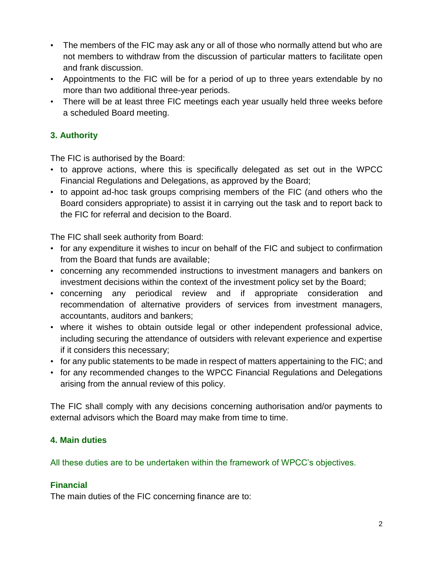- The members of the FIC may ask any or all of those who normally attend but who are not members to withdraw from the discussion of particular matters to facilitate open and frank discussion.
- Appointments to the FIC will be for a period of up to three years extendable by no more than two additional three-year periods.
- There will be at least three FIC meetings each year usually held three weeks before a scheduled Board meeting.

## **3. Authority**

The FIC is authorised by the Board:

- to approve actions, where this is specifically delegated as set out in the WPCC Financial Regulations and Delegations, as approved by the Board;
- to appoint ad-hoc task groups comprising members of the FIC (and others who the Board considers appropriate) to assist it in carrying out the task and to report back to the FIC for referral and decision to the Board.

The FIC shall seek authority from Board:

- for any expenditure it wishes to incur on behalf of the FIC and subject to confirmation from the Board that funds are available;
- concerning any recommended instructions to investment managers and bankers on investment decisions within the context of the investment policy set by the Board;
- concerning any periodical review and if appropriate consideration and recommendation of alternative providers of services from investment managers, accountants, auditors and bankers;
- where it wishes to obtain outside legal or other independent professional advice, including securing the attendance of outsiders with relevant experience and expertise if it considers this necessary;
- for any public statements to be made in respect of matters appertaining to the FIC; and
- for any recommended changes to the WPCC Financial Regulations and Delegations arising from the annual review of this policy.

The FIC shall comply with any decisions concerning authorisation and/or payments to external advisors which the Board may make from time to time.

## **4. Main duties**

All these duties are to be undertaken within the framework of WPCC's objectives.

# **Financial**

The main duties of the FIC concerning finance are to: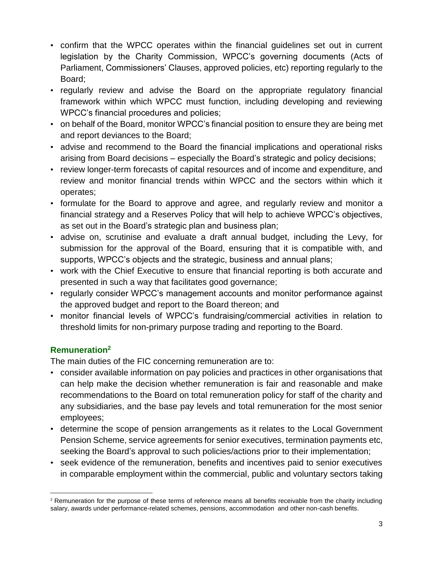- confirm that the WPCC operates within the financial guidelines set out in current legislation by the Charity Commission, WPCC's governing documents (Acts of Parliament, Commissioners' Clauses, approved policies, etc) reporting regularly to the Board;
- regularly review and advise the Board on the appropriate regulatory financial framework within which WPCC must function, including developing and reviewing WPCC's financial procedures and policies;
- on behalf of the Board, monitor WPCC's financial position to ensure they are being met and report deviances to the Board;
- advise and recommend to the Board the financial implications and operational risks arising from Board decisions – especially the Board's strategic and policy decisions;
- review longer-term forecasts of capital resources and of income and expenditure, and review and monitor financial trends within WPCC and the sectors within which it operates;
- formulate for the Board to approve and agree, and regularly review and monitor a financial strategy and a Reserves Policy that will help to achieve WPCC's objectives, as set out in the Board's strategic plan and business plan;
- advise on, scrutinise and evaluate a draft annual budget, including the Levy, for submission for the approval of the Board, ensuring that it is compatible with, and supports, WPCC's objects and the strategic, business and annual plans;
- work with the Chief Executive to ensure that financial reporting is both accurate and presented in such a way that facilitates good governance;
- regularly consider WPCC's management accounts and monitor performance against the approved budget and report to the Board thereon; and
- monitor financial levels of WPCC's fundraising/commercial activities in relation to threshold limits for non-primary purpose trading and reporting to the Board.

## **Remuneration<sup>2</sup>**

 $\overline{a}$ 

The main duties of the FIC concerning remuneration are to:

- consider available information on pay policies and practices in other organisations that can help make the decision whether remuneration is fair and reasonable and make recommendations to the Board on total remuneration policy for staff of the charity and any subsidiaries, and the base pay levels and total remuneration for the most senior employees;
- determine the scope of pension arrangements as it relates to the Local Government Pension Scheme, service agreements for senior executives, termination payments etc, seeking the Board's approval to such policies/actions prior to their implementation;
- seek evidence of the remuneration, benefits and incentives paid to senior executives in comparable employment within the commercial, public and voluntary sectors taking

<sup>&</sup>lt;sup>2</sup> Remuneration for the purpose of these terms of reference means all benefits receivable from the charity including salary, awards under performance-related schemes, pensions, accommodation and other non-cash benefits.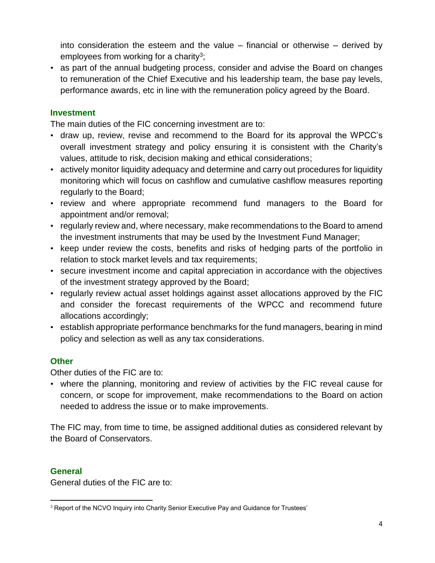into consideration the esteem and the value – financial or otherwise – derived by employees from working for a charity<sup>3</sup>;

• as part of the annual budgeting process, consider and advise the Board on changes to remuneration of the Chief Executive and his leadership team, the base pay levels, performance awards, etc in line with the remuneration policy agreed by the Board.

#### **Investment**

The main duties of the FIC concerning investment are to:

- draw up, review, revise and recommend to the Board for its approval the WPCC's overall investment strategy and policy ensuring it is consistent with the Charity's values, attitude to risk, decision making and ethical considerations;
- actively monitor liquidity adequacy and determine and carry out procedures for liquidity monitoring which will focus on cashflow and cumulative cashflow measures reporting regularly to the Board;
- review and where appropriate recommend fund managers to the Board for appointment and/or removal;
- regularly review and, where necessary, make recommendations to the Board to amend the investment instruments that may be used by the Investment Fund Manager;
- keep under review the costs, benefits and risks of hedging parts of the portfolio in relation to stock market levels and tax requirements;
- secure investment income and capital appreciation in accordance with the objectives of the investment strategy approved by the Board;
- regularly review actual asset holdings against asset allocations approved by the FIC and consider the forecast requirements of the WPCC and recommend future allocations accordingly;
- establish appropriate performance benchmarks for the fund managers, bearing in mind policy and selection as well as any tax considerations.

#### **Other**

Other duties of the FIC are to:

• where the planning, monitoring and review of activities by the FIC reveal cause for concern, or scope for improvement, make recommendations to the Board on action needed to address the issue or to make improvements.

The FIC may, from time to time, be assigned additional duties as considered relevant by the Board of Conservators.

#### **General**

General duties of the FIC are to:

 $\overline{a}$ <sup>3</sup> Report of the NCVO Inquiry into Charity Senior Executive Pay and Guidance for Trustees'